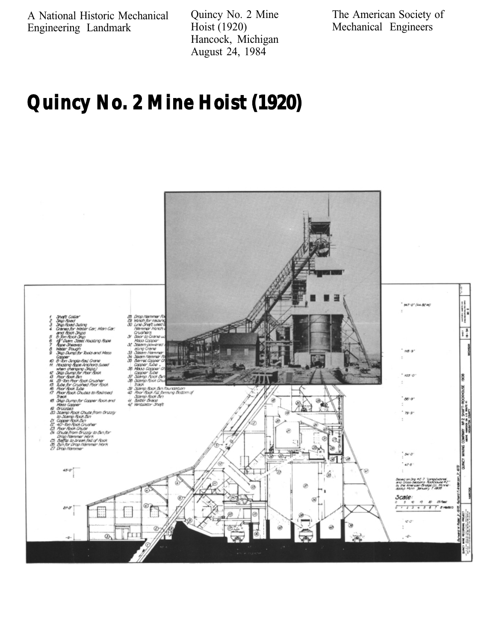A National Historic Mechanical Engineering Landmark

Quincy No. 2 Mine Hoist (1920) Hancock, Michigan August 24, 1984

The American Society of Mechanical Engineers

# **Quincy No. 2 Mine Hoist (1920)**

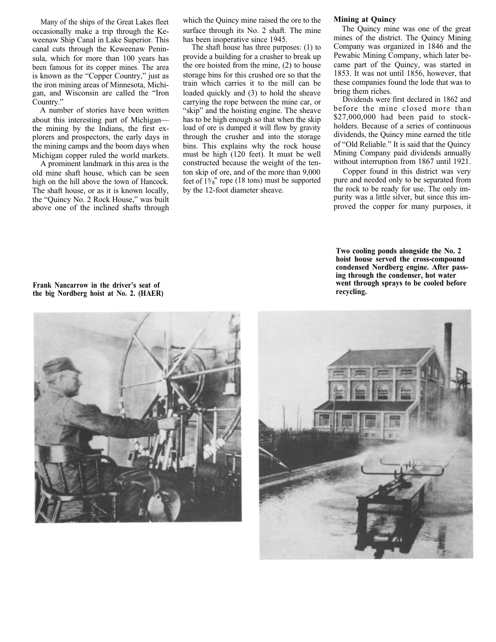Many of the ships of the Great Lakes fleet occasionally make a trip through the Keweenaw Ship Canal in Lake Superior. This canal cuts through the Keweenaw Peninsula, which for more than 100 years has been famous for its copper mines. The area is known as the "Copper Country," just as the iron mining areas of Minnesota, Michigan, and Wisconsin are called the "Iron Country."

A number of stories have been written about this interesting part of Michigan the mining by the Indians, the first explorers and prospectors, the early days in the mining camps and the boom days when Michigan copper ruled the world markets.

A prominent landmark in this area is the old mine shaft house, which can be seen high on the hill above the town of Hancock. The shaft house, or as it is known locally, the "Quincy No. 2 Rock House," was built above one of the inclined shafts through which the Quincy mine raised the ore to the surface through its No. 2 shaft. The mine has been inoperative since 1945.

The shaft house has three purposes: (1) to provide a building for a crusher to break up the ore hoisted from the mine, (2) to house storage bins for this crushed ore so that the train which carries it to the mill can be loaded quickly and (3) to hold the sheave carrying the rope between the mine car, or "skip" and the hoisting engine. The sheave has to be high enough so that when the skip load of ore is dumped it will flow by gravity through the crusher and into the storage bins. This explains why the rock house must be high (120 feet). It must be well constructed because the weight of the tenton skip of ore, and of the more than 9,000 feet of  $15\frac{1}{8}$ " rope (18 tons) must be supported by the 12-foot diameter sheave.

#### **Mining at Quincy**

The Quincy mine was one of the great mines of the district. The Quincy Mining Company was organized in 1846 and the Pewabic Mining Company, which later became part of the Quincy, was started in 1853. It was not until 1856, however, that these companies found the lode that was to bring them riches.

Dividends were first declared in 1862 and before the mine closed more than \$27,000,000 had been paid to stockholders. Because of a series of continuous dividends, the Quincy mine earned the title of "Old Reliable." It is said that the Quincy Mining Company paid dividends annually without interruption from 1867 until 1921.

Copper found in this district was very pure and needed only to be separated from the rock to be ready for use. The only impurity was a little silver, but since this improved the copper for many purposes, it

**Two cooling ponds alongside the No. 2 hoist house served the cross-compound condensed Nordberg engine. After passing through the condenser, hot water went through sprays to be cooled before recycling.**



**Frank Nancarrow in the driver's seat of the big Nordberg hoist at No. 2. (HAER)**

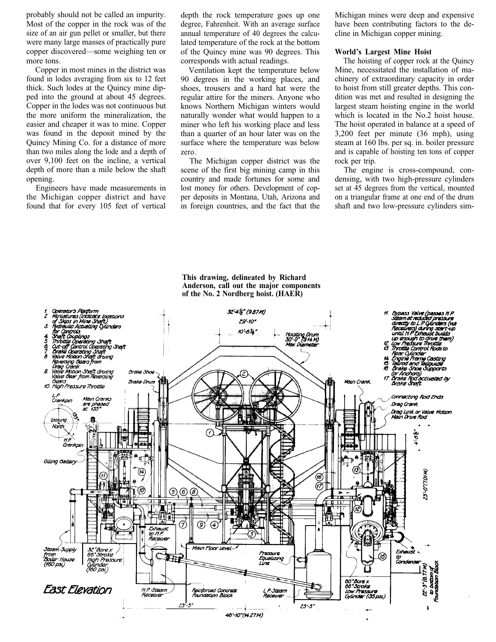probably should not be called an impurity. Most of the copper in the rock was of the size of an air gun pellet or smaller, but there were many large masses of practically pure copper discovered—some weighing ten or more tons.

Copper in most mines in the district was found in lodes averaging from six to 12 feet thick. Such lodes at the Quincy mine dipped into the ground at about 45 degrees. Copper in the lodes was not continuous but the more uniform the mineralization, the easier and cheaper it was to mine. Copper was found in the deposit mined by the Quincy Mining Co. for a distance of more than two miles along the lode and a depth of over 9,100 feet on the incline, a vertical depth of more than a mile below the shaft opening.

Engineers have made measurements in the Michigan copper district and have found that for every 105 feet of vertical

depth the rock temperature goes up one degree, Fahrenheit. With an average surface annual temperature of 40 degrees the calculated temperature of the rock at the bottom of the Quincy mine was 90 degrees. This corresponds with actual readings.

Ventilation kept the temperature below 90 degrees in the working places, and shoes, trousers and a hard hat were the regular attire for the miners. Anyone who knows Northern Michigan winters would naturally wonder what would happen to a miner who left his working place and less than a quarter of an hour later was on the surface where the temperature was below zero.

The Michigan copper district was the scene of the first big mining camp in this country and made fortunes for some and lost money for others. Development of copper deposits in Montana, Utah, Arizona and in foreign countries, and the fact that the

Michigan mines were deep and expensive have been contributing factors to the decline in Michigan copper mining.

#### **World's Largest Mine Hoist**

The hoisting of copper rock at the Quincy Mine, necessitated the installation of machinery of extraordinary capacity in order to hoist from still greater depths. This condition was met and resulted in designing the largest steam hoisting engine in the world which is located in the No.2 hoist house. The hoist operated in balance at a speed of 3,200 feet per minute (36 mph), using steam at 160 lbs. per sq. in. boiler pressure and is capable of hoisting ten tons of copper rock per trip.

The engine is cross-compound, condensing, with two high-pressure cylinders set at 45 degrees from the vertical, mounted on a triangular frame at one end of the drum shaft and two low-pressure cylinders sim-



## **This drawing, delineated by Richard Anderson, call out the major components of the No. 2 Nordberg hoist. (HAER)**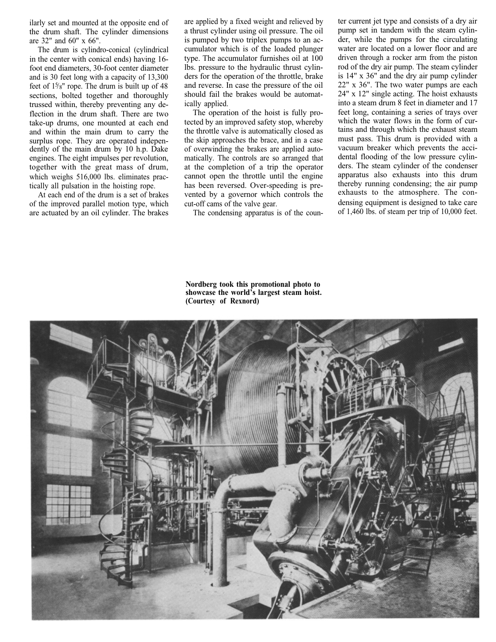ilarly set and mounted at the opposite end of the drum shaft. The cylinder dimensions are 32" and 60" x 66".

The drum is cylindro-conical (cylindrical in the center with conical ends) having 16 foot end diameters, 30-foot center diameter and is 30 feet long with a capacity of 13,300 feet of  $1\frac{5}{8}$ " rope. The drum is built up of 48 sections, bolted together and thoroughly trussed within, thereby preventing any deflection in the drum shaft. There are two take-up drums, one mounted at each end and within the main drum to carry the surplus rope. They are operated independently of the main drum by 10 h.p. Dake engines. The eight impulses per revolution, together with the great mass of drum, which weighs 516,000 lbs. eliminates practically all pulsation in the hoisting rope.

At each end of the drum is a set of brakes of the improved parallel motion type, which are actuated by an oil cylinder. The brakes are applied by a fixed weight and relieved by a thrust cylinder using oil pressure. The oil is pumped by two triplex pumps to an accumulator which is of the loaded plunger type. The accumulator furnishes oil at 100 lbs. pressure to the hydraulic thrust cylinders for the operation of the throttle, brake and reverse. In case the pressure of the oil should fail the brakes would be automatically applied.

The operation of the hoist is fully protected by an improved safety stop, whereby the throttle valve is automatically closed as the skip approaches the brace, and in a case of overwinding the brakes are applied automatically. The controls are so arranged that at the completion of a trip the operator cannot open the throttle until the engine has been reversed. Over-speeding is prevented by a governor which controls the cut-off cams of the valve gear.

The condensing apparatus is of the coun-

ter current jet type and consists of a dry air pump set in tandem with the steam cylinder, while the pumps for the circulating water are located on a lower floor and are driven through a rocker arm from the piston rod of the dry air pump. The steam cylinder is 14" x 36" and the dry air pump cylinder 22" x 36". The two water pumps are each 24" x 12" single acting. The hoist exhausts into a steam drum 8 feet in diameter and 17 feet long, containing a series of trays over which the water flows in the form of curtains and through which the exhaust steam must pass. This drum is provided with a vacuum breaker which prevents the accidental flooding of the low pressure cylinders. The steam cylinder of the condenser apparatus also exhausts into this drum thereby running condensing; the air pump exhausts to the atmosphere. The condensing equipment is designed to take care of 1,460 lbs. of steam per trip of 10,000 feet.

**Nordberg took this promotional photo to showcase the world's largest steam hoist. (Courtesy of Rexnord)**

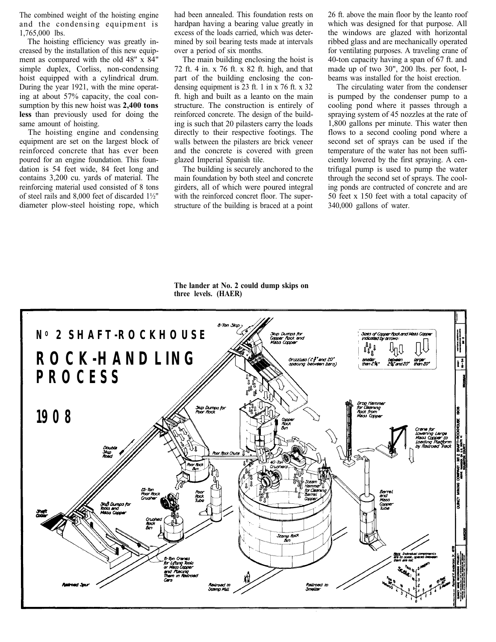The combined weight of the hoisting engine and the condensing equipment is 1,765,000 lbs.

The hoisting efficiency was greatly increased by the installation of this new equipment as compared with the old 48" x 84" simple duplex, Corliss, non-condensing hoist equipped with a cylindrical drum. During the year 1921, with the mine operating at about 57% capacity, the coal consumption by this new hoist was **2,400 tons less** than previously used for doing the same amount of hoisting.

The hoisting engine and condensing equipment are set on the largest block of reinforced concrete that has ever been poured for an engine foundation. This foundation is 54 feet wide, 84 feet long and contains 3,200 cu. yards of material. The reinforcing material used consisted of 8 tons of steel rails and 8,000 feet of discarded 1½" diameter plow-steel hoisting rope, which

had been annealed. This foundation rests on hardpan having a bearing value greatly in excess of the loads carried, which was determined by soil bearing tests made at intervals over a period of six months.

The main building enclosing the hoist is 72 ft. 4 in. x 76 ft. x 82 ft. high, and that part of the building enclosing the condensing equipment is 23 ft. 1 in x 76 ft. x 32 ft. high and built as a leanto on the main structure. The construction is entirely of reinforced concrete. The design of the building is such that 20 pilasters carry the loads directly to their respective footings. The walls between the pilasters are brick veneer and the concrete is covered with green glazed Imperial Spanish tile.

The building is securely anchored to the main foundation by both steel and concrete girders, all of which were poured integral with the reinforced concret floor. The superstructure of the building is braced at a point

26 ft. above the main floor by the leanto roof which was designed for that purpose. All the windows are glazed with horizontal ribbed glass and are mechanically operated for ventilating purposes. A traveling crane of 40-ton capacity having a span of 67 ft. and made up of two 30", 200 lbs. per foot, Ibeams was installed for the hoist erection.

The circulating water from the condenser is pumped by the condenser pump to a cooling pond where it passes through a spraying system of 45 nozzles at the rate of 1,800 gallons per minute. This water then flows to a second cooling pond where a second set of sprays can be used if the temperature of the water has not been sufficiently lowered by the first spraying. A centrifugal pump is used to pump the water through the second set of sprays. The cooling ponds are contructed of concrete and are 50 feet x 150 feet with a total capacity of 340,000 gallons of water.

**The lander at No. 2 could dump skips on three levels. (HAER)**